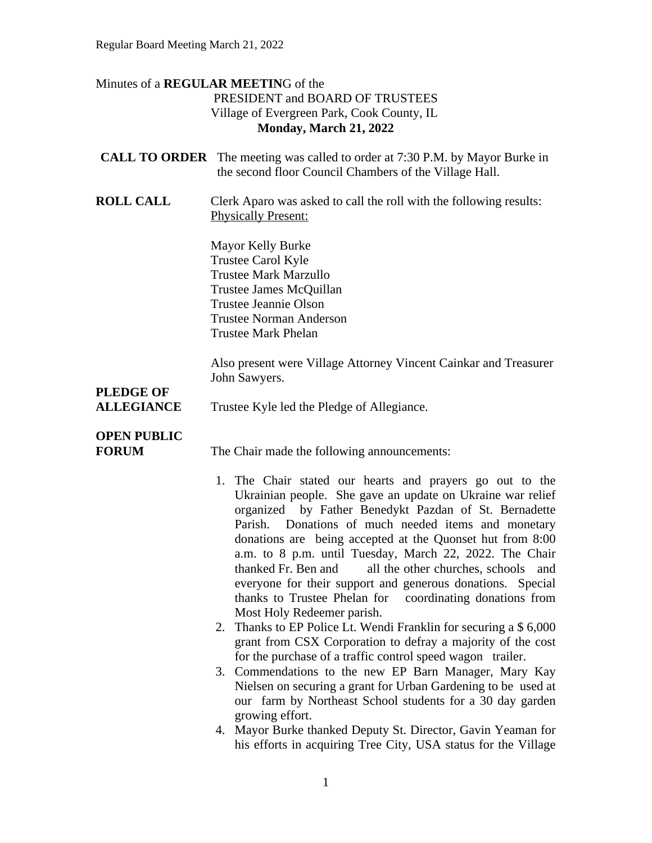### Minutes of a **REGULAR MEETIN**G of the PRESIDENT and BOARD OF TRUSTEES Village of Evergreen Park, Cook County, IL **Monday, March 21, 2022**

|                                    | <b>CALL TO ORDER</b> The meeting was called to order at 7:30 P.M. by Mayor Burke in<br>the second floor Council Chambers of the Village Hall.                                                                                                                                                                                                                                                                                                                                                                                                                                              |
|------------------------------------|--------------------------------------------------------------------------------------------------------------------------------------------------------------------------------------------------------------------------------------------------------------------------------------------------------------------------------------------------------------------------------------------------------------------------------------------------------------------------------------------------------------------------------------------------------------------------------------------|
| <b>ROLL CALL</b>                   | Clerk Aparo was asked to call the roll with the following results:<br><b>Physically Present:</b>                                                                                                                                                                                                                                                                                                                                                                                                                                                                                           |
|                                    | Mayor Kelly Burke<br>Trustee Carol Kyle<br><b>Trustee Mark Marzullo</b><br>Trustee James McQuillan<br><b>Trustee Jeannie Olson</b><br><b>Trustee Norman Anderson</b><br><b>Trustee Mark Phelan</b>                                                                                                                                                                                                                                                                                                                                                                                         |
| <b>PLEDGE OF</b>                   | Also present were Village Attorney Vincent Cainkar and Treasurer<br>John Sawyers.                                                                                                                                                                                                                                                                                                                                                                                                                                                                                                          |
| <b>ALLEGIANCE</b>                  | Trustee Kyle led the Pledge of Allegiance.                                                                                                                                                                                                                                                                                                                                                                                                                                                                                                                                                 |
| <b>OPEN PUBLIC</b><br><b>FORUM</b> | The Chair made the following announcements:                                                                                                                                                                                                                                                                                                                                                                                                                                                                                                                                                |
|                                    | 1. The Chair stated our hearts and prayers go out to the<br>Ukrainian people. She gave an update on Ukraine war relief<br>organized by Father Benedykt Pazdan of St. Bernadette<br>Donations of much needed items and monetary<br>Parish.<br>donations are being accepted at the Quonset hut from 8:00<br>a.m. to 8 p.m. until Tuesday, March 22, 2022. The Chair<br>all the other churches, schools<br>thanked Fr. Ben and<br>and<br>everyone for their support and generous donations. Special<br>thanks to Trustee Phelan for coordinating donations from<br>Most Holy Redeemer parish. |
|                                    | Thanks to EP Police Lt. Wendi Franklin for securing a \$ 6,000<br>grant from CSX Corporation to defray a majority of the cost<br>for the purchase of a traffic control speed wagon trailer.                                                                                                                                                                                                                                                                                                                                                                                                |
|                                    | 3. Commendations to the new EP Barn Manager, Mary Kay<br>Nielsen on securing a grant for Urban Gardening to be used at<br>our farm by Northeast School students for a 30 day garden<br>growing effort.                                                                                                                                                                                                                                                                                                                                                                                     |
|                                    | 4. Mayor Burke thanked Deputy St. Director, Gavin Yeaman for<br>his efforts in acquiring Tree City, USA status for the Village                                                                                                                                                                                                                                                                                                                                                                                                                                                             |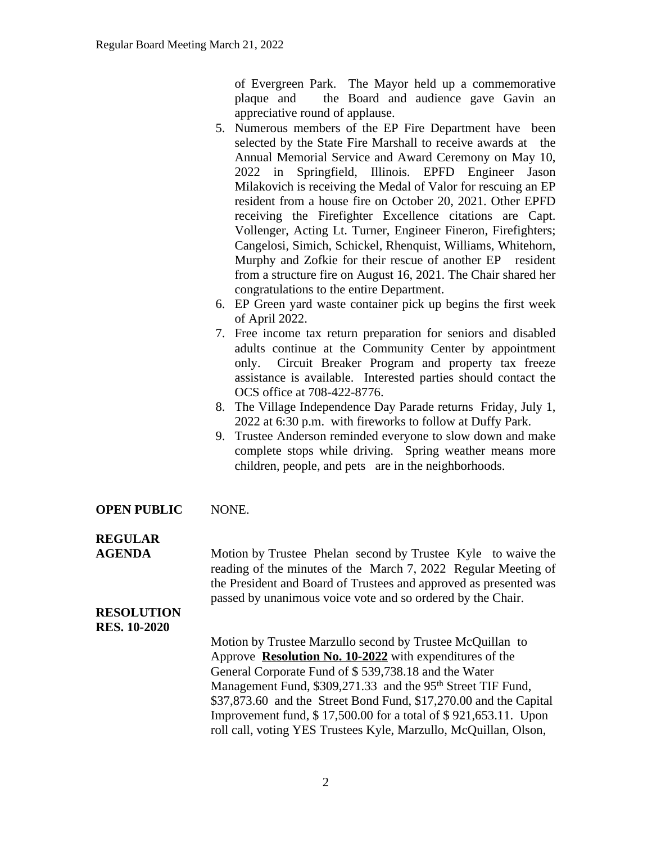of Evergreen Park. The Mayor held up a commemorative plaque and the Board and audience gave Gavin an appreciative round of applause.

- 5. Numerous members of the EP Fire Department have been selected by the State Fire Marshall to receive awards at the Annual Memorial Service and Award Ceremony on May 10, 2022 in Springfield, Illinois. EPFD Engineer Jason Milakovich is receiving the Medal of Valor for rescuing an EP resident from a house fire on October 20, 2021. Other EPFD receiving the Firefighter Excellence citations are Capt. Vollenger, Acting Lt. Turner, Engineer Fineron, Firefighters; Cangelosi, Simich, Schickel, Rhenquist, Williams, Whitehorn, Murphy and Zofkie for their rescue of another EP resident from a structure fire on August 16, 2021. The Chair shared her congratulations to the entire Department.
- 6. EP Green yard waste container pick up begins the first week of April 2022.
- 7. Free income tax return preparation for seniors and disabled adults continue at the Community Center by appointment only. Circuit Breaker Program and property tax freeze assistance is available. Interested parties should contact the OCS office at 708-422-8776.
- 8. The Village Independence Day Parade returns Friday, July 1, 2022 at 6:30 p.m. with fireworks to follow at Duffy Park.
- 9. Trustee Anderson reminded everyone to slow down and make complete stops while driving. Spring weather means more children, people, and pets are in the neighborhoods.
- **OPEN PUBLIC** NONE.

## **REGULAR**

**AGENDA** Motion by Trustee Phelan second by Trustee Kyle to waive the reading of the minutes of the March 7, 2022 Regular Meeting of the President and Board of Trustees and approved as presented was passed by unanimous voice vote and so ordered by the Chair.

#### **RESOLUTION RES. 10-2020**

Motion by Trustee Marzullo second by Trustee McQuillan to Approve **Resolution No. 10-2022** with expenditures of the General Corporate Fund of \$ 539,738.18 and the Water Management Fund, \$309,271.33 and the 95<sup>th</sup> Street TIF Fund, \$37,873.60 and the Street Bond Fund, \$17,270.00 and the Capital Improvement fund, \$ 17,500.00 for a total of \$ 921,653.11. Upon roll call, voting YES Trustees Kyle, Marzullo, McQuillan, Olson,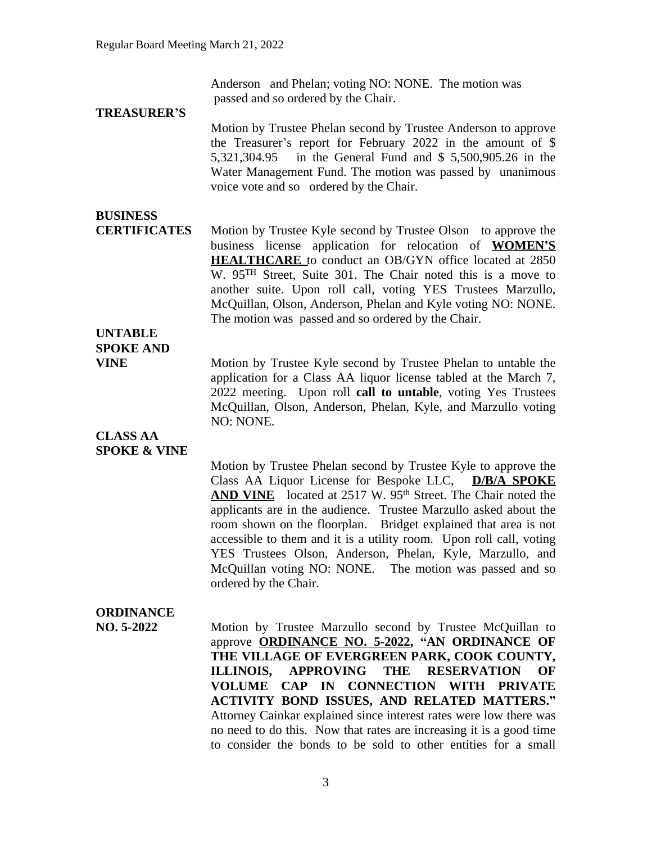Anderson and Phelan; voting NO: NONE. The motion was passed and so ordered by the Chair.

#### **TREASURER'S**

Motion by Trustee Phelan second by Trustee Anderson to approve the Treasurer's report for February 2022 in the amount of \$ 5,321,304.95 in the General Fund and \$ 5,500,905.26 in the Water Management Fund. The motion was passed by unanimous voice vote and so ordered by the Chair.

## **BUSINESS**

**CERTIFICATES** Motion by Trustee Kyle second by Trustee Olson to approve the business license application for relocation of **WOMEN'S HEALTHCARE** to conduct an OB/GYN office located at 2850 W. 95TH Street, Suite 301. The Chair noted this is a move to another suite. Upon roll call, voting YES Trustees Marzullo, McQuillan, Olson, Anderson, Phelan and Kyle voting NO: NONE. The motion was passed and so ordered by the Chair.

## **UNTABLE SPOKE AND**

**VINE** Motion by Trustee Kyle second by Trustee Phelan to untable the application for a Class AA liquor license tabled at the March 7, 2022 meeting. Upon roll **call to untable**, voting Yes Trustees McQuillan, Olson, Anderson, Phelan, Kyle, and Marzullo voting NO: NONE.

#### **CLASS AA SPOKE & VINE**

Motion by Trustee Phelan second by Trustee Kyle to approve the Class AA Liquor License for Bespoke LLC, **D/B/A SPOKE** AND VINE located at 2517 W. 95<sup>th</sup> Street. The Chair noted the applicants are in the audience. Trustee Marzullo asked about the room shown on the floorplan. Bridget explained that area is not accessible to them and it is a utility room. Upon roll call, voting YES Trustees Olson, Anderson, Phelan, Kyle, Marzullo, and McQuillan voting NO: NONE. The motion was passed and so ordered by the Chair.

## **ORDINANCE**

**NO. 5-2022** Motion by Trustee Marzullo second by Trustee McQuillan to approve **ORDINANCE NO. 5-2022, "AN ORDINANCE OF THE VILLAGE OF EVERGREEN PARK, COOK COUNTY, ILLINOIS, APPROVING THE RESERVATION OF VOLUME CAP IN CONNECTION WITH PRIVATE ACTIVITY BOND ISSUES, AND RELATED MATTERS."** Attorney Cainkar explained since interest rates were low there was no need to do this. Now that rates are increasing it is a good time to consider the bonds to be sold to other entities for a small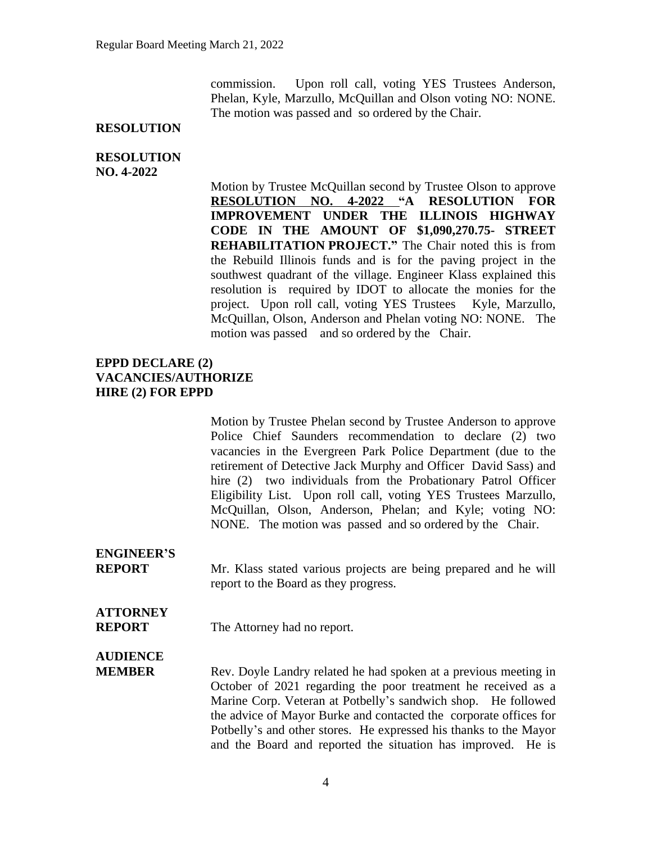commission. Upon roll call, voting YES Trustees Anderson, Phelan, Kyle, Marzullo, McQuillan and Olson voting NO: NONE. The motion was passed and so ordered by the Chair.

#### **RESOLUTION**

#### **RESOLUTION NO. 4-2022**

Motion by Trustee McQuillan second by Trustee Olson to approve **RESOLUTION NO. 4-2022 "A RESOLUTION FOR IMPROVEMENT UNDER THE ILLINOIS HIGHWAY CODE IN THE AMOUNT OF \$1,090,270.75- STREET REHABILITATION PROJECT."** The Chair noted this is from the Rebuild Illinois funds and is for the paving project in the southwest quadrant of the village. Engineer Klass explained this resolution is required by IDOT to allocate the monies for the project. Upon roll call, voting YES Trustees Kyle, Marzullo, McQuillan, Olson, Anderson and Phelan voting NO: NONE. The motion was passed and so ordered by the Chair.

### **EPPD DECLARE (2) VACANCIES/AUTHORIZE HIRE (2) FOR EPPD**

Motion by Trustee Phelan second by Trustee Anderson to approve Police Chief Saunders recommendation to declare (2) two vacancies in the Evergreen Park Police Department (due to the retirement of Detective Jack Murphy and Officer David Sass) and hire (2) two individuals from the Probationary Patrol Officer Eligibility List. Upon roll call, voting YES Trustees Marzullo, McQuillan, Olson, Anderson, Phelan; and Kyle; voting NO: NONE. The motion was passed and so ordered by the Chair.

# **ENGINEER'S**

**REPORT** Mr. Klass stated various projects are being prepared and he will report to the Board as they progress.

## **ATTORNEY**

**REPORT** The Attorney had no report.

## **AUDIENCE**

**MEMBER** Rev. Doyle Landry related he had spoken at a previous meeting in October of 2021 regarding the poor treatment he received as a Marine Corp. Veteran at Potbelly's sandwich shop. He followed the advice of Mayor Burke and contacted the corporate offices for Potbelly's and other stores. He expressed his thanks to the Mayor and the Board and reported the situation has improved. He is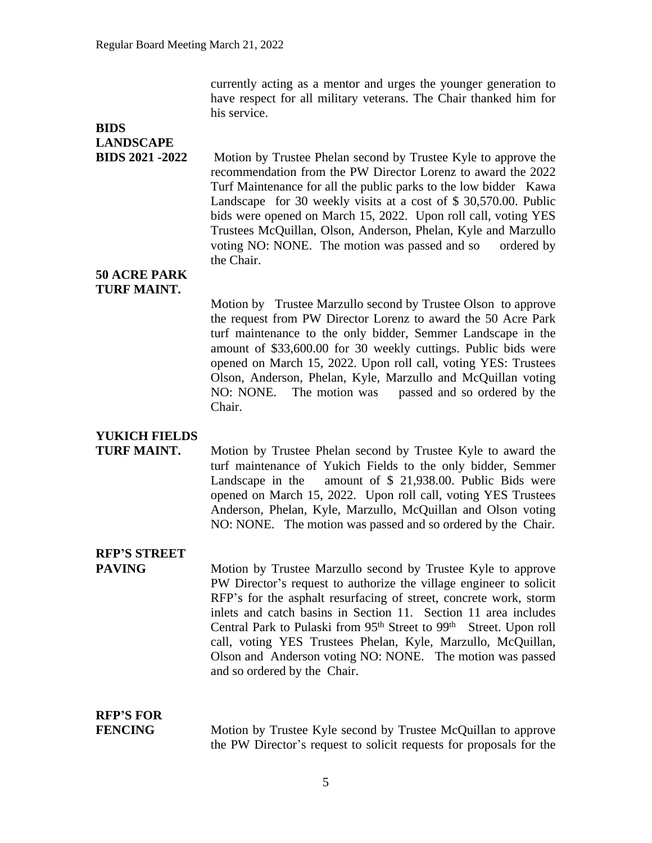currently acting as a mentor and urges the younger generation to have respect for all military veterans. The Chair thanked him for his service.

## **BIDS LANDSCAPE**

**BIDS 2021 -2022** Motion by Trustee Phelan second by Trustee Kyle to approve the recommendation from the PW Director Lorenz to award the 2022 Turf Maintenance for all the public parks to the low bidder Kawa Landscape for 30 weekly visits at a cost of \$ 30,570.00. Public bids were opened on March 15, 2022. Upon roll call, voting YES Trustees McQuillan, Olson, Anderson, Phelan, Kyle and Marzullo voting NO: NONE. The motion was passed and so ordered by the Chair.

**50 ACRE PARK TURF MAINT.**

> Motion by Trustee Marzullo second by Trustee Olson to approve the request from PW Director Lorenz to award the 50 Acre Park turf maintenance to the only bidder, Semmer Landscape in the amount of \$33,600.00 for 30 weekly cuttings. Public bids were opened on March 15, 2022. Upon roll call, voting YES: Trustees Olson, Anderson, Phelan, Kyle, Marzullo and McQuillan voting NO: NONE. The motion was passed and so ordered by the Chair.

## **YUKICH FIELDS**

**TURF MAINT.** Motion by Trustee Phelan second by Trustee Kyle to award the turf maintenance of Yukich Fields to the only bidder, Semmer Landscape in the amount of \$ 21,938.00. Public Bids were opened on March 15, 2022. Upon roll call, voting YES Trustees Anderson, Phelan, Kyle, Marzullo, McQuillan and Olson voting NO: NONE. The motion was passed and so ordered by the Chair.

## **RFP'S STREET**

**PAVING** Motion by Trustee Marzullo second by Trustee Kyle to approve PW Director's request to authorize the village engineer to solicit RFP's for the asphalt resurfacing of street, concrete work, storm inlets and catch basins in Section 11. Section 11 area includes Central Park to Pulaski from 95<sup>th</sup> Street to 99<sup>th</sup> Street. Upon roll call, voting YES Trustees Phelan, Kyle, Marzullo, McQuillan, Olson and Anderson voting NO: NONE. The motion was passed and so ordered by the Chair.

# **RFP'S FOR**

**FENCING** Motion by Trustee Kyle second by Trustee McQuillan to approve the PW Director's request to solicit requests for proposals for the